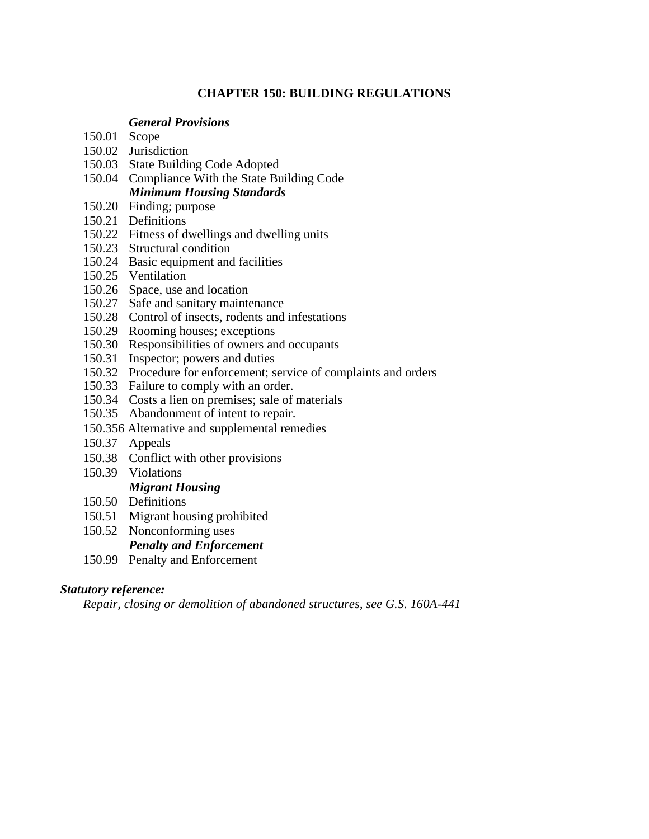# **CHAPTER 150: BUILDING REGULATIONS**

### *General Provisions*

- 150.01 Scope
- 150.02 Jurisdiction
- 150.03 State Building Code Adopted
- 150.04 Compliance With the State Building Code *Minimum Housing Standards*
- 150.20 Finding; purpose
- 150.21 Definitions
- 150.22 Fitness of dwellings and dwelling units
- 150.23 Structural condition
- 150.24 Basic equipment and facilities
- 150.25 Ventilation
- 150.26 Space, use and location
- 150.27 Safe and sanitary maintenance
- 150.28 Control of insects, rodents and infestations
- 150.29 Rooming houses; exceptions
- 150.30 Responsibilities of owners and occupants
- 150.31 Inspector; powers and duties
- 150.32 Procedure for enforcement; service of complaints and orders
- 150.33 Failure to comply with an order.
- 150.34 Costs a lien on premises; sale of materials
- 150.35 Abandonment of intent to repair.
- 150.356 Alternative and supplemental remedies
- 150.37 Appeals
- 150.38 Conflict with other provisions
- 150.39 Violations

# *Migrant Housing*

- 150.50 Definitions
- 150.51 Migrant housing prohibited
- 150.52 Nonconforming uses

# *Penalty and Enforcement*

150.99 Penalty and Enforcement

#### *Statutory reference:*

*Repair, closing or demolition of abandoned structures, see G.S. 160A-441*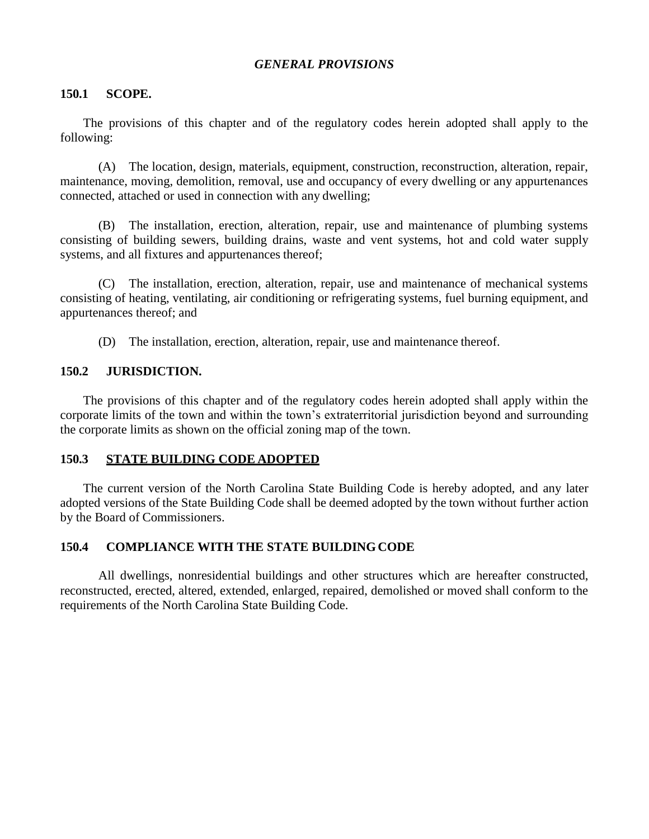### *GENERAL PROVISIONS*

#### **150.1 SCOPE.**

The provisions of this chapter and of the regulatory codes herein adopted shall apply to the following:

(A) The location, design, materials, equipment, construction, reconstruction, alteration, repair, maintenance, moving, demolition, removal, use and occupancy of every dwelling or any appurtenances connected, attached or used in connection with any dwelling;

(B) The installation, erection, alteration, repair, use and maintenance of plumbing systems consisting of building sewers, building drains, waste and vent systems, hot and cold water supply systems, and all fixtures and appurtenances thereof;

(C) The installation, erection, alteration, repair, use and maintenance of mechanical systems consisting of heating, ventilating, air conditioning or refrigerating systems, fuel burning equipment, and appurtenances thereof; and

(D) The installation, erection, alteration, repair, use and maintenance thereof.

#### **150.2 JURISDICTION.**

The provisions of this chapter and of the regulatory codes herein adopted shall apply within the corporate limits of the town and within the town's extraterritorial jurisdiction beyond and surrounding the corporate limits as shown on the official zoning map of the town.

#### **150.3 STATE BUILDING CODE ADOPTED**

The current version of the North Carolina State Building Code is hereby adopted, and any later adopted versions of the State Building Code shall be deemed adopted by the town without further action by the Board of Commissioners.

#### **150.4 COMPLIANCE WITH THE STATE BUILDINGCODE**

All dwellings, nonresidential buildings and other structures which are hereafter constructed, reconstructed, erected, altered, extended, enlarged, repaired, demolished or moved shall conform to the requirements of the North Carolina State Building Code.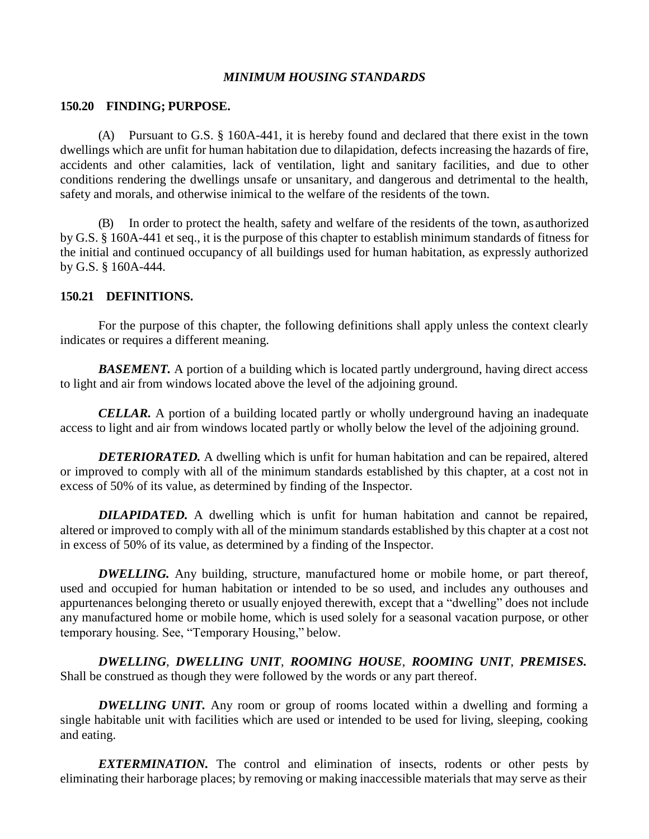#### *MINIMUM HOUSING STANDARDS*

#### **150.20 FINDING; PURPOSE.**

(A) Pursuant to G.S. § 160A-441, it is hereby found and declared that there exist in the town dwellings which are unfit for human habitation due to dilapidation, defects increasing the hazards of fire, accidents and other calamities, lack of ventilation, light and sanitary facilities, and due to other conditions rendering the dwellings unsafe or unsanitary, and dangerous and detrimental to the health, safety and morals, and otherwise inimical to the welfare of the residents of the town.

In order to protect the health, safety and welfare of the residents of the town, as authorized by G.S. § 160A-441 et seq., it is the purpose of this chapter to establish minimum standards of fitness for the initial and continued occupancy of all buildings used for human habitation, as expressly authorized by G.S. § 160A-444.

#### **150.21 DEFINITIONS.**

For the purpose of this chapter, the following definitions shall apply unless the context clearly indicates or requires a different meaning.

**BASEMENT.** A portion of a building which is located partly underground, having direct access to light and air from windows located above the level of the adjoining ground.

*CELLAR.* A portion of a building located partly or wholly underground having an inadequate access to light and air from windows located partly or wholly below the level of the adjoining ground.

*DETERIORATED.* A dwelling which is unfit for human habitation and can be repaired, altered or improved to comply with all of the minimum standards established by this chapter, at a cost not in excess of 50% of its value, as determined by finding of the Inspector.

*DILAPIDATED.* A dwelling which is unfit for human habitation and cannot be repaired, altered or improved to comply with all of the minimum standards established by this chapter at a cost not in excess of 50% of its value, as determined by a finding of the Inspector.

*DWELLING*. Any building, structure, manufactured home or mobile home, or part thereof, used and occupied for human habitation or intended to be so used, and includes any outhouses and appurtenances belonging thereto or usually enjoyed therewith, except that a "dwelling" does not include any manufactured home or mobile home, which is used solely for a seasonal vacation purpose, or other temporary housing. See, "Temporary Housing," below.

*DWELLING*, *DWELLING UNIT*, *ROOMING HOUSE*, *ROOMING UNIT*, *PREMISES.* Shall be construed as though they were followed by the words or any part thereof.

*DWELLING UNIT.* Any room or group of rooms located within a dwelling and forming a single habitable unit with facilities which are used or intended to be used for living, sleeping, cooking and eating.

*EXTERMINATION.* The control and elimination of insects, rodents or other pests by eliminating their harborage places; by removing or making inaccessible materials that may serve as their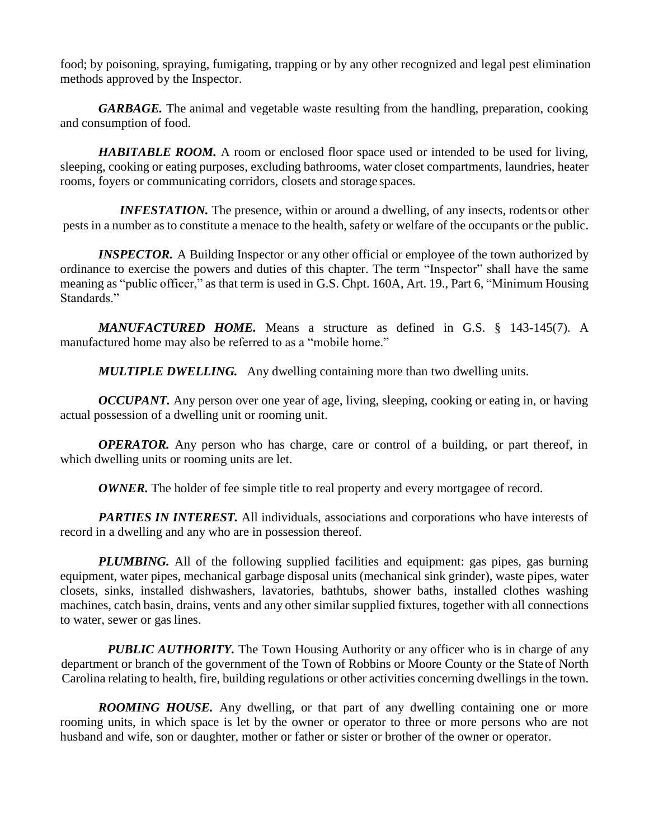food; by poisoning, spraying, fumigating, trapping or by any other recognized and legal pest elimination methods approved by the Inspector.

*GARBAGE*. The animal and vegetable waste resulting from the handling, preparation, cooking and consumption of food.

*HABITABLE ROOM.* A room or enclosed floor space used or intended to be used for living, sleeping, cooking or eating purposes, excluding bathrooms, water closet compartments, laundries, heater rooms, foyers or communicating corridors, closets and storage spaces.

*INFESTATION*. The presence, within or around a dwelling, of any insects, rodents or other pests in a number as to constitute a menace to the health, safety or welfare of the occupants or the public.

*INSPECTOR.* A Building Inspector or any other official or employee of the town authorized by ordinance to exercise the powers and duties of this chapter. The term "Inspector" shall have the same meaning as "public officer," as that term is used in G.S. Chpt. 160A, Art. 19., Part 6, "Minimum Housing Standards."

*MANUFACTURED HOME.* Means a structure as defined in G.S. § 143-145(7). A manufactured home may also be referred to as a "mobile home."

*MULTIPLE DWELLING.* Any dwelling containing more than two dwelling units.

*OCCUPANT*. Any person over one year of age, living, sleeping, cooking or eating in, or having actual possession of a dwelling unit or rooming unit.

*OPERATOR.* Any person who has charge, care or control of a building, or part thereof, in which dwelling units or rooming units are let.

*OWNER*. The holder of fee simple title to real property and every mortgagee of record.

*PARTIES IN INTEREST.* All individuals, associations and corporations who have interests of record in a dwelling and any who are in possession thereof.

*PLUMBING*. All of the following supplied facilities and equipment: gas pipes, gas burning equipment, water pipes, mechanical garbage disposal units (mechanical sink grinder), waste pipes, water closets, sinks, installed dishwashers, lavatories, bathtubs, shower baths, installed clothes washing machines, catch basin, drains, vents and any other similar supplied fixtures, together with all connections to water, sewer or gas lines.

*PUBLIC AUTHORITY*. The Town Housing Authority or any officer who is in charge of any department or branch of the government of the Town of Robbins or Moore County or the State of North Carolina relating to health, fire, building regulations or other activities concerning dwellings in the town.

*ROOMING HOUSE.* Any dwelling, or that part of any dwelling containing one or more rooming units, in which space is let by the owner or operator to three or more persons who are not husband and wife, son or daughter, mother or father or sister or brother of the owner or operator.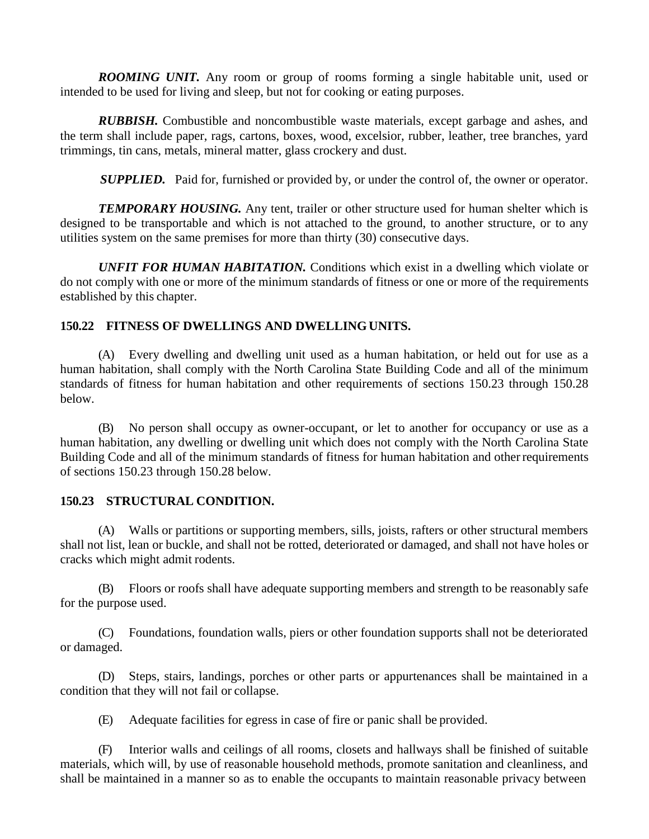*ROOMING UNIT.* Any room or group of rooms forming a single habitable unit, used or intended to be used for living and sleep, but not for cooking or eating purposes.

*RUBBISH.* Combustible and noncombustible waste materials, except garbage and ashes, and the term shall include paper, rags, cartons, boxes, wood, excelsior, rubber, leather, tree branches, yard trimmings, tin cans, metals, mineral matter, glass crockery and dust.

**SUPPLIED.** Paid for, furnished or provided by, or under the control of, the owner or operator.

**TEMPORARY HOUSING.** Any tent, trailer or other structure used for human shelter which is designed to be transportable and which is not attached to the ground, to another structure, or to any utilities system on the same premises for more than thirty (30) consecutive days.

*UNFIT FOR HUMAN HABITATION.* Conditions which exist in a dwelling which violate or do not comply with one or more of the minimum standards of fitness or one or more of the requirements established by this chapter.

### **150.22 FITNESS OF DWELLINGS AND DWELLINGUNITS.**

(A) Every dwelling and dwelling unit used as a human habitation, or held out for use as a human habitation, shall comply with the North Carolina State Building Code and all of the minimum standards of fitness for human habitation and other requirements of sections 150.23 through 150.28 below.

(B) No person shall occupy as owner-occupant, or let to another for occupancy or use as a human habitation, any dwelling or dwelling unit which does not comply with the North Carolina State Building Code and all of the minimum standards of fitness for human habitation and otherrequirements of sections 150.23 through 150.28 below.

#### **150.23 STRUCTURAL CONDITION.**

(A) Walls or partitions or supporting members, sills, joists, rafters or other structural members shall not list, lean or buckle, and shall not be rotted, deteriorated or damaged, and shall not have holes or cracks which might admit rodents.

(B) Floors or roofs shall have adequate supporting members and strength to be reasonably safe for the purpose used.

(C) Foundations, foundation walls, piers or other foundation supports shall not be deteriorated or damaged.

(D) Steps, stairs, landings, porches or other parts or appurtenances shall be maintained in a condition that they will not fail or collapse.

(E) Adequate facilities for egress in case of fire or panic shall be provided.

(F) Interior walls and ceilings of all rooms, closets and hallways shall be finished of suitable materials, which will, by use of reasonable household methods, promote sanitation and cleanliness, and shall be maintained in a manner so as to enable the occupants to maintain reasonable privacy between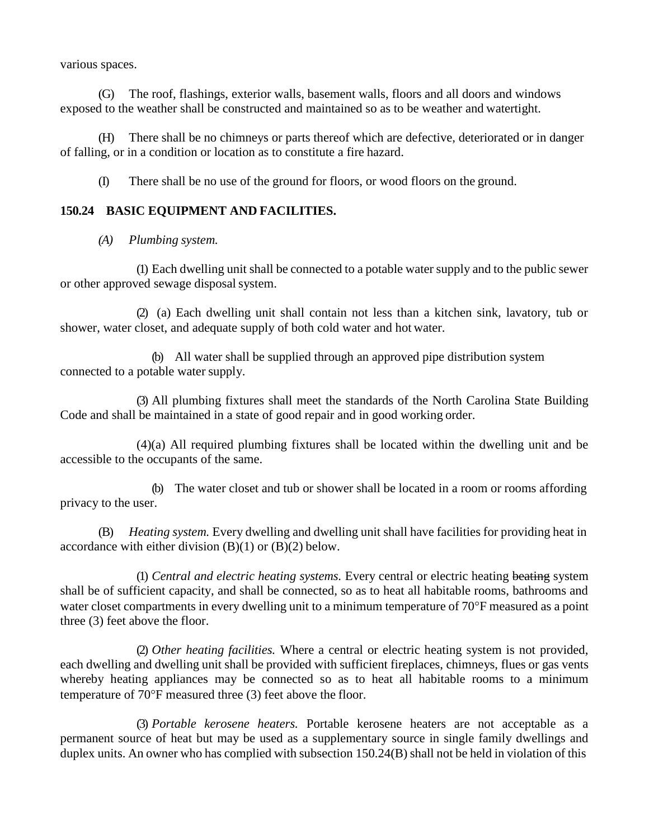various spaces.

(G) The roof, flashings, exterior walls, basement walls, floors and all doors and windows exposed to the weather shall be constructed and maintained so as to be weather and watertight.

(H) There shall be no chimneys or parts thereof which are defective, deteriorated or in danger of falling, or in a condition or location as to constitute a fire hazard.

(I) There shall be no use of the ground for floors, or wood floors on the ground.

### **150.24 BASIC EQUIPMENT AND FACILITIES.**

*(A) Plumbing system.*

(1) Each dwelling unit shall be connected to a potable water supply and to the public sewer or other approved sewage disposal system.

(2) (a) Each dwelling unit shall contain not less than a kitchen sink, lavatory, tub or shower, water closet, and adequate supply of both cold water and hot water.

(b) All water shall be supplied through an approved pipe distribution system connected to a potable water supply.

(3) All plumbing fixtures shall meet the standards of the North Carolina State Building Code and shall be maintained in a state of good repair and in good working order.

(4)(a) All required plumbing fixtures shall be located within the dwelling unit and be accessible to the occupants of the same.

(b) The water closet and tub or shower shall be located in a room or rooms affording privacy to the user.

(B) *Heating system.* Every dwelling and dwelling unit shall have facilities for providing heat in accordance with either division  $(B)(1)$  or  $(B)(2)$  below.

(1) *Central and electric heating systems.* Every central or electric heating beating system shall be of sufficient capacity, and shall be connected, so as to heat all habitable rooms, bathrooms and water closet compartments in every dwelling unit to a minimum temperature of 70°F measured as a point three (3) feet above the floor.

(2) *Other heating facilities.* Where a central or electric heating system is not provided, each dwelling and dwelling unit shall be provided with sufficient fireplaces, chimneys, flues or gas vents whereby heating appliances may be connected so as to heat all habitable rooms to a minimum temperature of  $70^{\circ}$ F measured three (3) feet above the floor.

(3) *Portable kerosene heaters.* Portable kerosene heaters are not acceptable as a permanent source of heat but may be used as a supplementary source in single family dwellings and duplex units. An owner who has complied with subsection 150.24(B) shall not be held in violation of this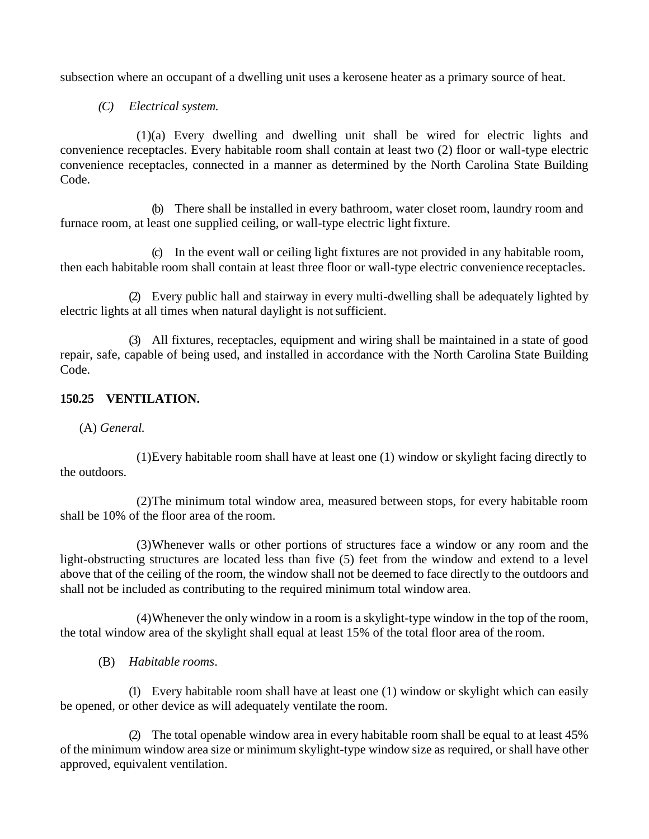subsection where an occupant of a dwelling unit uses a kerosene heater as a primary source of heat.

### *(C) Electrical system.*

(1)(a) Every dwelling and dwelling unit shall be wired for electric lights and convenience receptacles. Every habitable room shall contain at least two (2) floor or wall-type electric convenience receptacles, connected in a manner as determined by the North Carolina State Building Code.

(b) There shall be installed in every bathroom, water closet room, laundry room and furnace room, at least one supplied ceiling, or wall-type electric light fixture.

(c) In the event wall or ceiling light fixtures are not provided in any habitable room, then each habitable room shall contain at least three floor or wall-type electric convenience receptacles.

(2) Every public hall and stairway in every multi-dwelling shall be adequately lighted by electric lights at all times when natural daylight is notsufficient.

(3) All fixtures, receptacles, equipment and wiring shall be maintained in a state of good repair, safe, capable of being used, and installed in accordance with the North Carolina State Building Code.

### **150.25 VENTILATION.**

# (A) *General.*

(1)Every habitable room shall have at least one (1) window or skylight facing directly to the outdoors.

(2)The minimum total window area, measured between stops, for every habitable room shall be 10% of the floor area of the room.

(3)Whenever walls or other portions of structures face a window or any room and the light-obstructing structures are located less than five (5) feet from the window and extend to a level above that of the ceiling of the room, the window shall not be deemed to face directly to the outdoors and shall not be included as contributing to the required minimum total window area.

(4)Whenever the only window in a room is a skylight-type window in the top of the room, the total window area of the skylight shall equal at least 15% of the total floor area of the room.

(B) *Habitable rooms*.

(1) Every habitable room shall have at least one (1) window or skylight which can easily be opened, or other device as will adequately ventilate the room.

(2) The total openable window area in every habitable room shall be equal to at least 45% of the minimum window area size or minimum skylight-type window size as required, or shall have other approved, equivalent ventilation.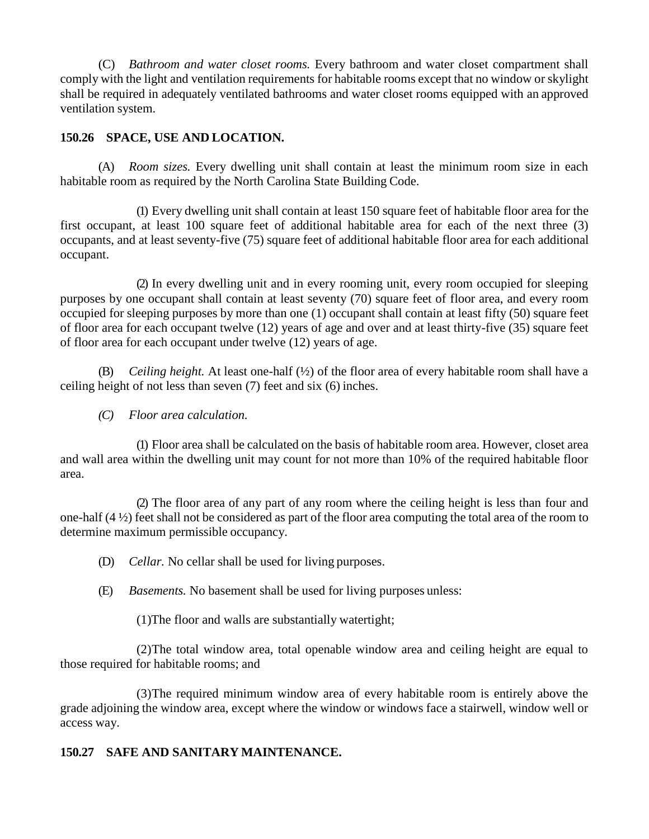(C) *Bathroom and water closet rooms.* Every bathroom and water closet compartment shall comply with the light and ventilation requirements for habitable rooms except that no window or skylight shall be required in adequately ventilated bathrooms and water closet rooms equipped with an approved ventilation system.

### **150.26 SPACE, USE AND LOCATION.**

(A) *Room sizes.* Every dwelling unit shall contain at least the minimum room size in each habitable room as required by the North Carolina State Building Code.

(1) Every dwelling unit shall contain at least 150 square feet of habitable floor area for the first occupant, at least 100 square feet of additional habitable area for each of the next three (3) occupants, and at least seventy-five (75) square feet of additional habitable floor area for each additional occupant.

(2) In every dwelling unit and in every rooming unit, every room occupied for sleeping purposes by one occupant shall contain at least seventy (70) square feet of floor area, and every room occupied for sleeping purposes by more than one (1) occupant shall contain at least fifty (50) square feet of floor area for each occupant twelve (12) years of age and over and at least thirty-five (35) square feet of floor area for each occupant under twelve (12) years of age.

(B) *Ceiling height.* At least one-half (½) of the floor area of every habitable room shall have a ceiling height of not less than seven (7) feet and six (6) inches.

*(C) Floor area calculation.*

(1) Floor area shall be calculated on the basis of habitable room area. However, closet area and wall area within the dwelling unit may count for not more than 10% of the required habitable floor area.

(2) The floor area of any part of any room where the ceiling height is less than four and one-half (4 ½) feet shall not be considered as part of the floor area computing the total area of the room to determine maximum permissible occupancy.

- (D) *Cellar.* No cellar shall be used for living purposes.
- (E) *Basements.* No basement shall be used for living purposes unless:

(1)The floor and walls are substantially watertight;

(2)The total window area, total openable window area and ceiling height are equal to those required for habitable rooms; and

(3)The required minimum window area of every habitable room is entirely above the grade adjoining the window area, except where the window or windows face a stairwell, window well or access way.

# **150.27 SAFE AND SANITARY MAINTENANCE.**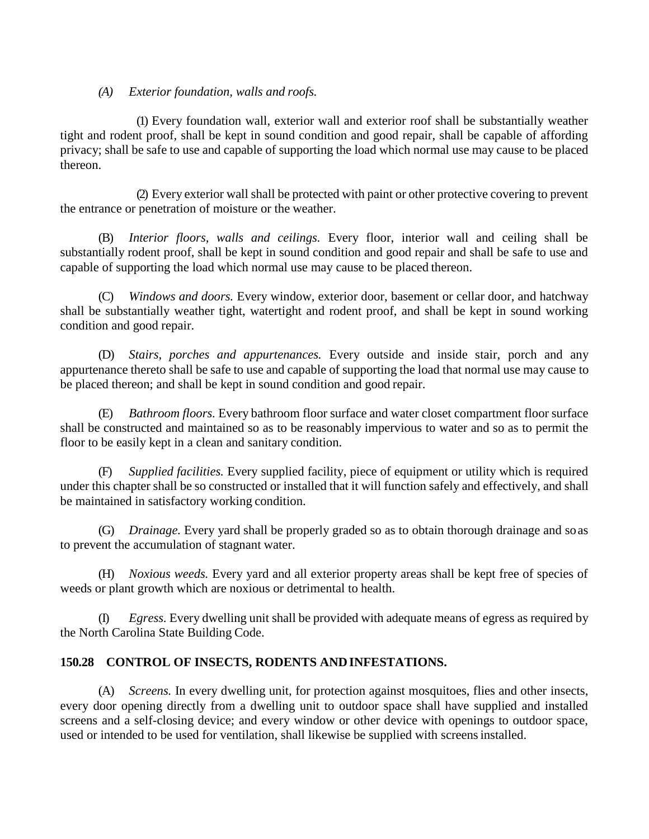### *(A) Exterior foundation, walls and roofs.*

(1) Every foundation wall, exterior wall and exterior roof shall be substantially weather tight and rodent proof, shall be kept in sound condition and good repair, shall be capable of affording privacy; shall be safe to use and capable of supporting the load which normal use may cause to be placed thereon.

(2) Every exterior wall shall be protected with paint or other protective covering to prevent the entrance or penetration of moisture or the weather.

(B) *Interior floors, walls and ceilings.* Every floor, interior wall and ceiling shall be substantially rodent proof, shall be kept in sound condition and good repair and shall be safe to use and capable of supporting the load which normal use may cause to be placed thereon.

(C) *Windows and doors.* Every window, exterior door, basement or cellar door, and hatchway shall be substantially weather tight, watertight and rodent proof, and shall be kept in sound working condition and good repair.

(D) *Stairs, porches and appurtenances.* Every outside and inside stair, porch and any appurtenance thereto shall be safe to use and capable of supporting the load that normal use may cause to be placed thereon; and shall be kept in sound condition and good repair.

(E) *Bathroom floors.* Every bathroom floor surface and water closet compartment floor surface shall be constructed and maintained so as to be reasonably impervious to water and so as to permit the floor to be easily kept in a clean and sanitary condition.

(F) *Supplied facilities.* Every supplied facility, piece of equipment or utility which is required under this chapter shall be so constructed or installed that it will function safely and effectively, and shall be maintained in satisfactory working condition.

(G) *Drainage.* Every yard shall be properly graded so as to obtain thorough drainage and soas to prevent the accumulation of stagnant water.

(H) *Noxious weeds.* Every yard and all exterior property areas shall be kept free of species of weeds or plant growth which are noxious or detrimental to health.

(I) *Egress.* Every dwelling unit shall be provided with adequate means of egress as required by the North Carolina State Building Code.

# **150.28 CONTROL OF INSECTS, RODENTS ANDINFESTATIONS.**

(A) *Screens.* In every dwelling unit, for protection against mosquitoes, flies and other insects, every door opening directly from a dwelling unit to outdoor space shall have supplied and installed screens and a self-closing device; and every window or other device with openings to outdoor space, used or intended to be used for ventilation, shall likewise be supplied with screensinstalled.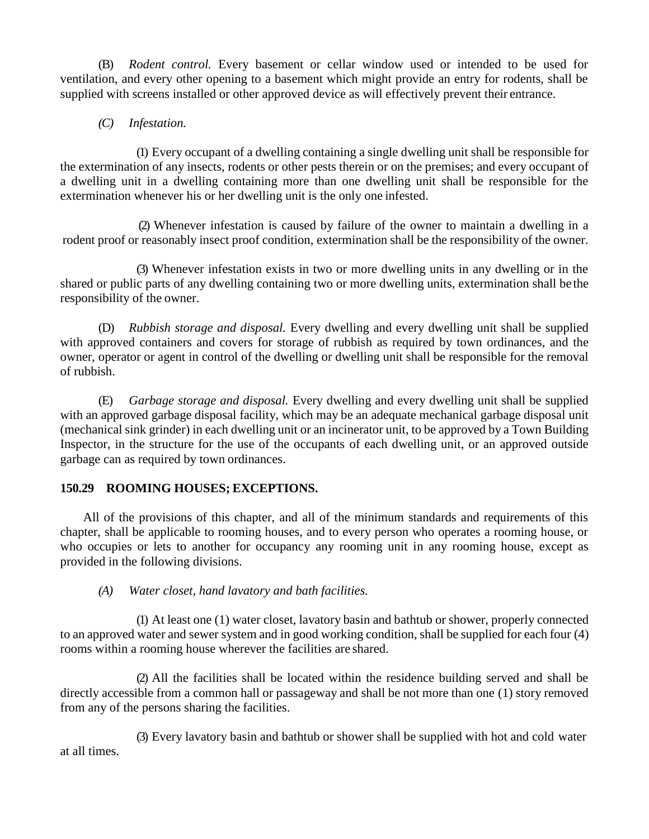(B) *Rodent control.* Every basement or cellar window used or intended to be used for ventilation, and every other opening to a basement which might provide an entry for rodents, shall be supplied with screens installed or other approved device as will effectively prevent their entrance.

*(C) Infestation.*

(1) Every occupant of a dwelling containing a single dwelling unit shall be responsible for the extermination of any insects, rodents or other pests therein or on the premises; and every occupant of a dwelling unit in a dwelling containing more than one dwelling unit shall be responsible for the extermination whenever his or her dwelling unit is the only one infested.

(2) Whenever infestation is caused by failure of the owner to maintain a dwelling in a rodent proof or reasonably insect proof condition, extermination shall be the responsibility of the owner.

(3) Whenever infestation exists in two or more dwelling units in any dwelling or in the shared or public parts of any dwelling containing two or more dwelling units, extermination shall be the responsibility of the owner.

(D) *Rubbish storage and disposal.* Every dwelling and every dwelling unit shall be supplied with approved containers and covers for storage of rubbish as required by town ordinances, and the owner, operator or agent in control of the dwelling or dwelling unit shall be responsible for the removal of rubbish.

(E) *Garbage storage and disposal.* Every dwelling and every dwelling unit shall be supplied with an approved garbage disposal facility, which may be an adequate mechanical garbage disposal unit (mechanical sink grinder) in each dwelling unit or an incinerator unit, to be approved by a Town Building Inspector, in the structure for the use of the occupants of each dwelling unit, or an approved outside garbage can as required by town ordinances.

# **150.29 ROOMING HOUSES; EXCEPTIONS.**

All of the provisions of this chapter, and all of the minimum standards and requirements of this chapter, shall be applicable to rooming houses, and to every person who operates a rooming house, or who occupies or lets to another for occupancy any rooming unit in any rooming house, except as provided in the following divisions.

# *(A) Water closet, hand lavatory and bath facilities.*

(1) At least one (1) water closet, lavatory basin and bathtub or shower, properly connected to an approved water and sewer system and in good working condition, shall be supplied for each four (4) rooms within a rooming house wherever the facilities are shared.

(2) All the facilities shall be located within the residence building served and shall be directly accessible from a common hall or passageway and shall be not more than one (1) story removed from any of the persons sharing the facilities.

at all times. (3) Every lavatory basin and bathtub or shower shall be supplied with hot and cold water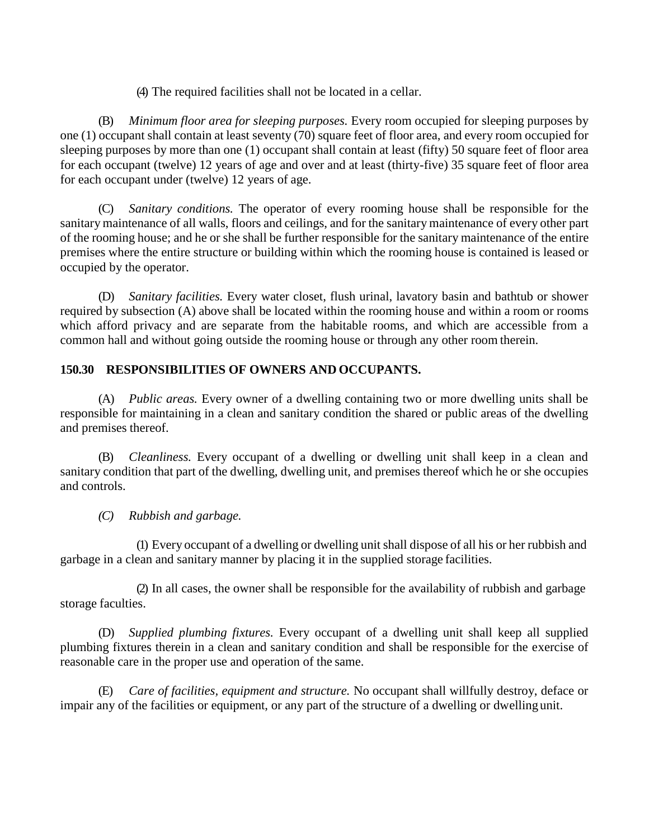(4) The required facilities shall not be located in a cellar.

(B) *Minimum floor area for sleeping purposes.* Every room occupied for sleeping purposes by one (1) occupant shall contain at least seventy (70) square feet of floor area, and every room occupied for sleeping purposes by more than one (1) occupant shall contain at least (fifty) 50 square feet of floor area for each occupant (twelve) 12 years of age and over and at least (thirty-five) 35 square feet of floor area for each occupant under (twelve) 12 years of age.

(C) *Sanitary conditions.* The operator of every rooming house shall be responsible for the sanitary maintenance of all walls, floors and ceilings, and for the sanitary maintenance of every other part of the rooming house; and he or she shall be further responsible for the sanitary maintenance of the entire premises where the entire structure or building within which the rooming house is contained is leased or occupied by the operator.

(D) *Sanitary facilities.* Every water closet, flush urinal, lavatory basin and bathtub or shower required by subsection (A) above shall be located within the rooming house and within a room or rooms which afford privacy and are separate from the habitable rooms, and which are accessible from a common hall and without going outside the rooming house or through any other room therein.

# **150.30 RESPONSIBILITIES OF OWNERS AND OCCUPANTS.**

(A) *Public areas.* Every owner of a dwelling containing two or more dwelling units shall be responsible for maintaining in a clean and sanitary condition the shared or public areas of the dwelling and premises thereof.

(B) *Cleanliness.* Every occupant of a dwelling or dwelling unit shall keep in a clean and sanitary condition that part of the dwelling, dwelling unit, and premises thereof which he or she occupies and controls.

# *(C) Rubbish and garbage.*

(1) Every occupant of a dwelling or dwelling unit shall dispose of all his or her rubbish and garbage in a clean and sanitary manner by placing it in the supplied storage facilities.

(2) In all cases, the owner shall be responsible for the availability of rubbish and garbage storage faculties.

(D) *Supplied plumbing fixtures.* Every occupant of a dwelling unit shall keep all supplied plumbing fixtures therein in a clean and sanitary condition and shall be responsible for the exercise of reasonable care in the proper use and operation of the same.

(E) *Care of facilities, equipment and structure.* No occupant shall willfully destroy, deface or impair any of the facilities or equipment, or any part of the structure of a dwelling or dwelling unit.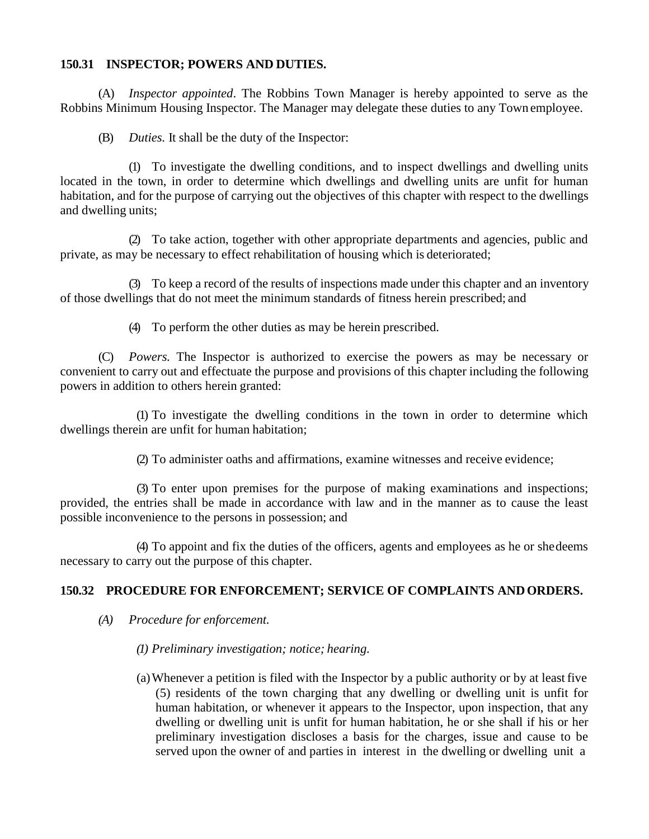### **150.31 INSPECTOR; POWERS AND DUTIES.**

(A) *Inspector appointed*. The Robbins Town Manager is hereby appointed to serve as the Robbins Minimum Housing Inspector. The Manager may delegate these duties to any Town employee.

(B) *Duties.* It shall be the duty of the Inspector:

(1) To investigate the dwelling conditions, and to inspect dwellings and dwelling units located in the town, in order to determine which dwellings and dwelling units are unfit for human habitation, and for the purpose of carrying out the objectives of this chapter with respect to the dwellings and dwelling units;

(2) To take action, together with other appropriate departments and agencies, public and private, as may be necessary to effect rehabilitation of housing which is deteriorated;

(3) To keep a record of the results of inspections made under this chapter and an inventory of those dwellings that do not meet the minimum standards of fitness herein prescribed; and

(4) To perform the other duties as may be herein prescribed.

(C) *Powers.* The Inspector is authorized to exercise the powers as may be necessary or convenient to carry out and effectuate the purpose and provisions of this chapter including the following powers in addition to others herein granted:

(1) To investigate the dwelling conditions in the town in order to determine which dwellings therein are unfit for human habitation;

(2) To administer oaths and affirmations, examine witnesses and receive evidence;

(3) To enter upon premises for the purpose of making examinations and inspections; provided, the entries shall be made in accordance with law and in the manner as to cause the least possible inconvenience to the persons in possession; and

(4) To appoint and fix the duties of the officers, agents and employees as he or shedeems necessary to carry out the purpose of this chapter.

# **150.32 PROCEDURE FOR ENFORCEMENT; SERVICE OF COMPLAINTS ANDORDERS.**

- *(A) Procedure for enforcement.*
	- *(1) Preliminary investigation; notice; hearing.*
	- (a)Whenever a petition is filed with the Inspector by a public authority or by at least five (5) residents of the town charging that any dwelling or dwelling unit is unfit for human habitation, or whenever it appears to the Inspector, upon inspection, that any dwelling or dwelling unit is unfit for human habitation, he or she shall if his or her preliminary investigation discloses a basis for the charges, issue and cause to be served upon the owner of and parties in interest in the dwelling or dwelling unit a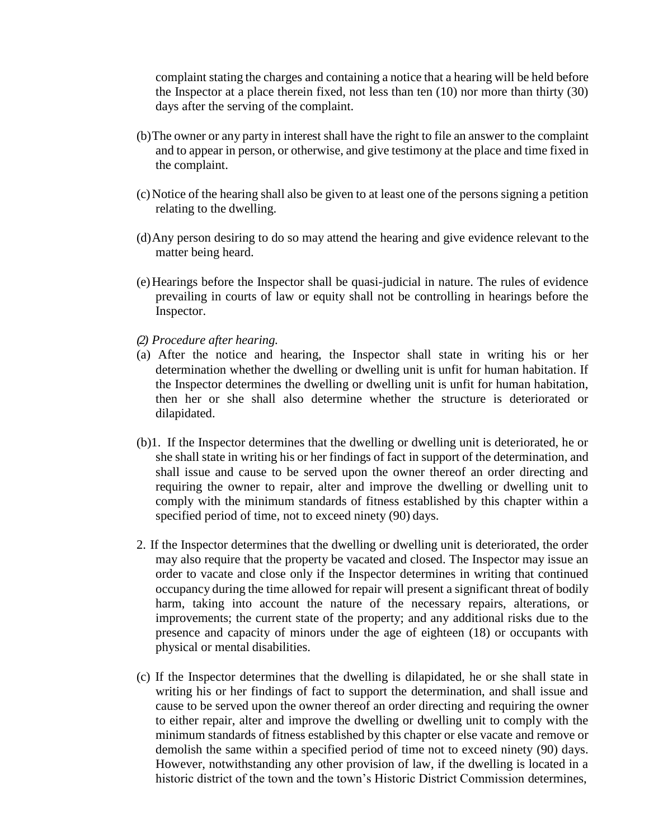complaint stating the charges and containing a notice that a hearing will be held before the Inspector at a place therein fixed, not less than ten (10) nor more than thirty (30) days after the serving of the complaint.

- (b)The owner or any party in interest shall have the right to file an answer to the complaint and to appear in person, or otherwise, and give testimony at the place and time fixed in the complaint.
- (c)Notice of the hearing shall also be given to at least one of the persons signing a petition relating to the dwelling.
- (d)Any person desiring to do so may attend the hearing and give evidence relevant to the matter being heard.
- (e)Hearings before the Inspector shall be quasi-judicial in nature. The rules of evidence prevailing in courts of law or equity shall not be controlling in hearings before the Inspector.
- *(2) Procedure after hearing.*
- (a) After the notice and hearing, the Inspector shall state in writing his or her determination whether the dwelling or dwelling unit is unfit for human habitation. If the Inspector determines the dwelling or dwelling unit is unfit for human habitation, then her or she shall also determine whether the structure is deteriorated or dilapidated.
- (b)1. If the Inspector determines that the dwelling or dwelling unit is deteriorated, he or she shall state in writing his or her findings of fact in support of the determination, and shall issue and cause to be served upon the owner thereof an order directing and requiring the owner to repair, alter and improve the dwelling or dwelling unit to comply with the minimum standards of fitness established by this chapter within a specified period of time, not to exceed ninety (90) days.
- 2. If the Inspector determines that the dwelling or dwelling unit is deteriorated, the order may also require that the property be vacated and closed. The Inspector may issue an order to vacate and close only if the Inspector determines in writing that continued occupancy during the time allowed for repair will present a significant threat of bodily harm, taking into account the nature of the necessary repairs, alterations, or improvements; the current state of the property; and any additional risks due to the presence and capacity of minors under the age of eighteen (18) or occupants with physical or mental disabilities.
- (c) If the Inspector determines that the dwelling is dilapidated, he or she shall state in writing his or her findings of fact to support the determination, and shall issue and cause to be served upon the owner thereof an order directing and requiring the owner to either repair, alter and improve the dwelling or dwelling unit to comply with the minimum standards of fitness established by this chapter or else vacate and remove or demolish the same within a specified period of time not to exceed ninety (90) days. However, notwithstanding any other provision of law, if the dwelling is located in a historic district of the town and the town's Historic District Commission determines,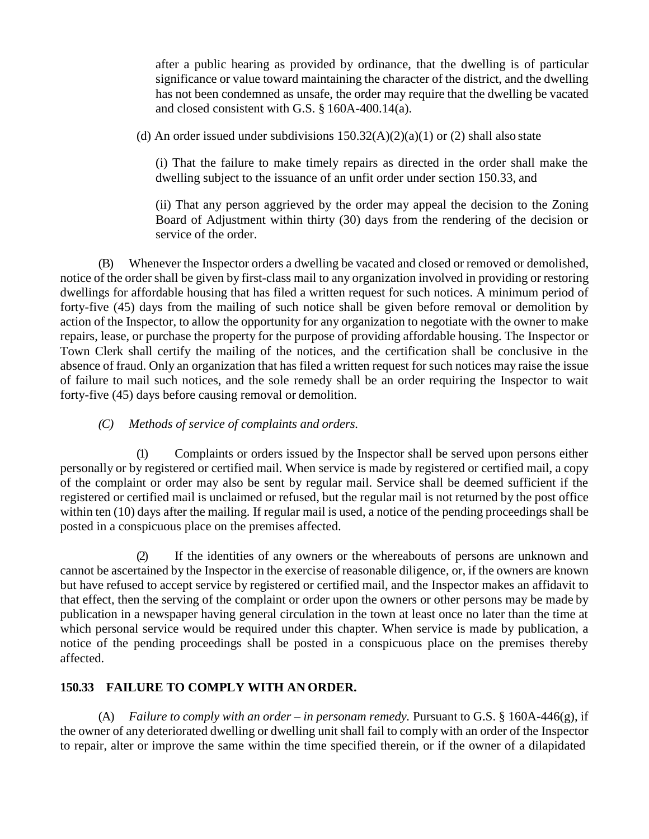after a public hearing as provided by ordinance, that the dwelling is of particular significance or value toward maintaining the character of the district, and the dwelling has not been condemned as unsafe, the order may require that the dwelling be vacated and closed consistent with G.S. § 160A-400.14(a).

(d) An order issued under subdivisions  $150.32(A)(2)(a)(1)$  or (2) shall also state

(i) That the failure to make timely repairs as directed in the order shall make the dwelling subject to the issuance of an unfit order under section 150.33, and

(ii) That any person aggrieved by the order may appeal the decision to the Zoning Board of Adjustment within thirty (30) days from the rendering of the decision or service of the order.

(B) Whenever the Inspector orders a dwelling be vacated and closed or removed or demolished, notice of the order shall be given by first-class mail to any organization involved in providing or restoring dwellings for affordable housing that has filed a written request for such notices. A minimum period of forty-five (45) days from the mailing of such notice shall be given before removal or demolition by action of the Inspector, to allow the opportunity for any organization to negotiate with the owner to make repairs, lease, or purchase the property for the purpose of providing affordable housing. The Inspector or Town Clerk shall certify the mailing of the notices, and the certification shall be conclusive in the absence of fraud. Only an organization that has filed a written request for such notices may raise the issue of failure to mail such notices, and the sole remedy shall be an order requiring the Inspector to wait forty-five (45) days before causing removal or demolition.

### *(C) Methods of service of complaints and orders.*

(1) Complaints or orders issued by the Inspector shall be served upon persons either personally or by registered or certified mail. When service is made by registered or certified mail, a copy of the complaint or order may also be sent by regular mail. Service shall be deemed sufficient if the registered or certified mail is unclaimed or refused, but the regular mail is not returned by the post office within ten (10) days after the mailing. If regular mail is used, a notice of the pending proceedings shall be posted in a conspicuous place on the premises affected.

(2) If the identities of any owners or the whereabouts of persons are unknown and cannot be ascertained by the Inspector in the exercise of reasonable diligence, or, if the owners are known but have refused to accept service by registered or certified mail, and the Inspector makes an affidavit to that effect, then the serving of the complaint or order upon the owners or other persons may be made by publication in a newspaper having general circulation in the town at least once no later than the time at which personal service would be required under this chapter. When service is made by publication, a notice of the pending proceedings shall be posted in a conspicuous place on the premises thereby affected.

# **150.33 FAILURE TO COMPLY WITH AN ORDER.**

(A) *Failure to comply with an order – in personam remedy.* Pursuant to G.S. § 160A-446(g), if the owner of any deteriorated dwelling or dwelling unit shall fail to comply with an order of the Inspector to repair, alter or improve the same within the time specified therein, or if the owner of a dilapidated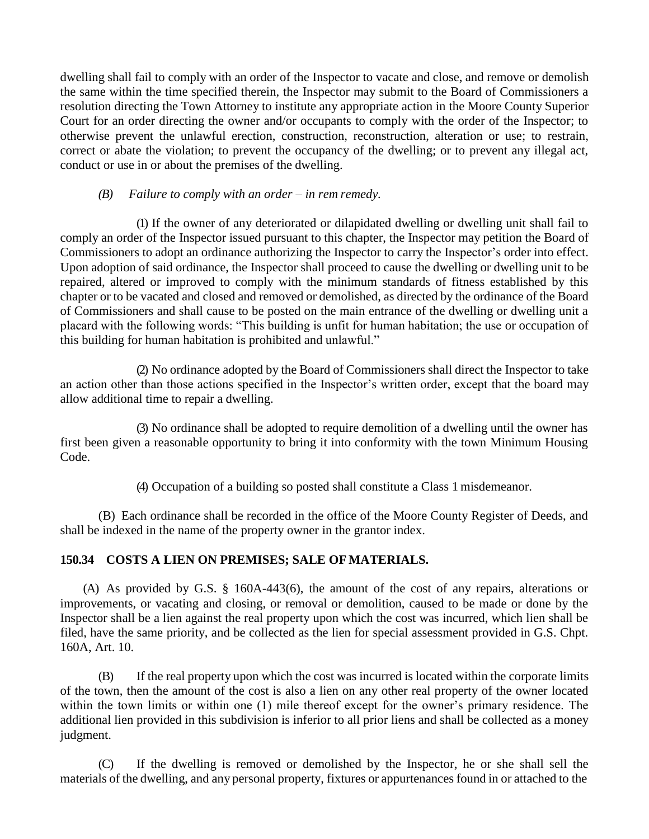dwelling shall fail to comply with an order of the Inspector to vacate and close, and remove or demolish the same within the time specified therein, the Inspector may submit to the Board of Commissioners a resolution directing the Town Attorney to institute any appropriate action in the Moore County Superior Court for an order directing the owner and/or occupants to comply with the order of the Inspector; to otherwise prevent the unlawful erection, construction, reconstruction, alteration or use; to restrain, correct or abate the violation; to prevent the occupancy of the dwelling; or to prevent any illegal act, conduct or use in or about the premises of the dwelling.

### *(B) Failure to comply with an order – in rem remedy.*

(1) If the owner of any deteriorated or dilapidated dwelling or dwelling unit shall fail to comply an order of the Inspector issued pursuant to this chapter, the Inspector may petition the Board of Commissioners to adopt an ordinance authorizing the Inspector to carry the Inspector's order into effect. Upon adoption of said ordinance, the Inspector shall proceed to cause the dwelling or dwelling unit to be repaired, altered or improved to comply with the minimum standards of fitness established by this chapter or to be vacated and closed and removed or demolished, as directed by the ordinance of the Board of Commissioners and shall cause to be posted on the main entrance of the dwelling or dwelling unit a placard with the following words: "This building is unfit for human habitation; the use or occupation of this building for human habitation is prohibited and unlawful."

(2) No ordinance adopted by the Board of Commissioners shall direct the Inspector to take an action other than those actions specified in the Inspector's written order, except that the board may allow additional time to repair a dwelling.

(3) No ordinance shall be adopted to require demolition of a dwelling until the owner has first been given a reasonable opportunity to bring it into conformity with the town Minimum Housing Code.

(4) Occupation of a building so posted shall constitute a Class 1 misdemeanor.

(B) Each ordinance shall be recorded in the office of the Moore County Register of Deeds, and shall be indexed in the name of the property owner in the grantor index.

# **150.34 COSTS A LIEN ON PREMISES; SALE OF MATERIALS.**

(A) As provided by G.S. § 160A-443(6), the amount of the cost of any repairs, alterations or improvements, or vacating and closing, or removal or demolition, caused to be made or done by the Inspector shall be a lien against the real property upon which the cost was incurred, which lien shall be filed, have the same priority, and be collected as the lien for special assessment provided in G.S. Chpt. 160A, Art. 10.

(B) If the real property upon which the cost was incurred is located within the corporate limits of the town, then the amount of the cost is also a lien on any other real property of the owner located within the town limits or within one (1) mile thereof except for the owner's primary residence. The additional lien provided in this subdivision is inferior to all prior liens and shall be collected as a money judgment.

(C) If the dwelling is removed or demolished by the Inspector, he or she shall sell the materials of the dwelling, and any personal property, fixtures or appurtenances found in or attached to the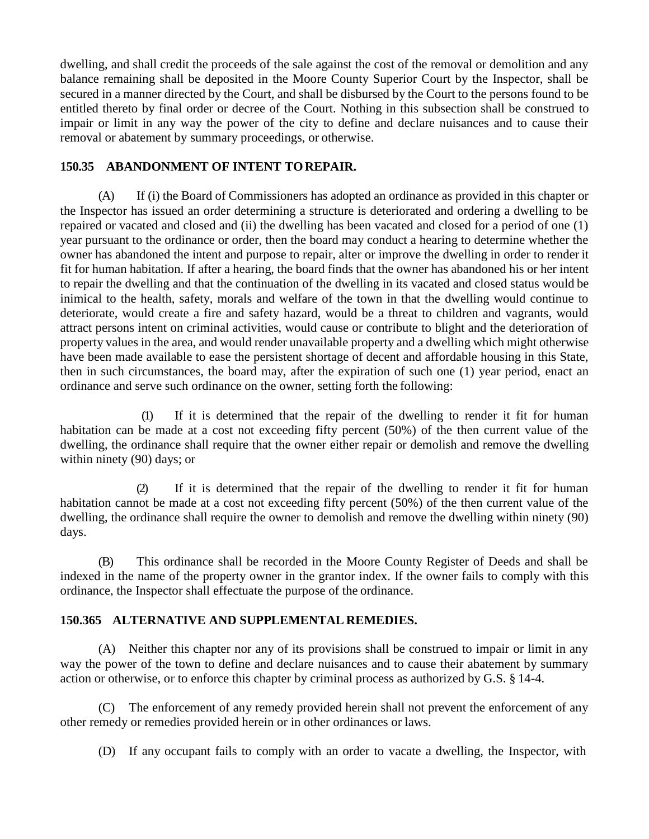dwelling, and shall credit the proceeds of the sale against the cost of the removal or demolition and any balance remaining shall be deposited in the Moore County Superior Court by the Inspector, shall be secured in a manner directed by the Court, and shall be disbursed by the Court to the persons found to be entitled thereto by final order or decree of the Court. Nothing in this subsection shall be construed to impair or limit in any way the power of the city to define and declare nuisances and to cause their removal or abatement by summary proceedings, or otherwise.

### **150.35 ABANDONMENT OF INTENT TOREPAIR.**

(A) If (i) the Board of Commissioners has adopted an ordinance as provided in this chapter or the Inspector has issued an order determining a structure is deteriorated and ordering a dwelling to be repaired or vacated and closed and (ii) the dwelling has been vacated and closed for a period of one (1) year pursuant to the ordinance or order, then the board may conduct a hearing to determine whether the owner has abandoned the intent and purpose to repair, alter or improve the dwelling in order to render it fit for human habitation. If after a hearing, the board finds that the owner has abandoned his or her intent to repair the dwelling and that the continuation of the dwelling in its vacated and closed status would be inimical to the health, safety, morals and welfare of the town in that the dwelling would continue to deteriorate, would create a fire and safety hazard, would be a threat to children and vagrants, would attract persons intent on criminal activities, would cause or contribute to blight and the deterioration of property values in the area, and would render unavailable property and a dwelling which might otherwise have been made available to ease the persistent shortage of decent and affordable housing in this State, then in such circumstances, the board may, after the expiration of such one (1) year period, enact an ordinance and serve such ordinance on the owner, setting forth the following:

(1) If it is determined that the repair of the dwelling to render it fit for human habitation can be made at a cost not exceeding fifty percent (50%) of the then current value of the dwelling, the ordinance shall require that the owner either repair or demolish and remove the dwelling within ninety (90) days; or

(2) If it is determined that the repair of the dwelling to render it fit for human habitation cannot be made at a cost not exceeding fifty percent (50%) of the then current value of the dwelling, the ordinance shall require the owner to demolish and remove the dwelling within ninety (90) days.

(B) This ordinance shall be recorded in the Moore County Register of Deeds and shall be indexed in the name of the property owner in the grantor index. If the owner fails to comply with this ordinance, the Inspector shall effectuate the purpose of the ordinance.

# **150.365 ALTERNATIVE AND SUPPLEMENTAL REMEDIES.**

(A) Neither this chapter nor any of its provisions shall be construed to impair or limit in any way the power of the town to define and declare nuisances and to cause their abatement by summary action or otherwise, or to enforce this chapter by criminal process as authorized by G.S. § 14-4.

(C) The enforcement of any remedy provided herein shall not prevent the enforcement of any other remedy or remedies provided herein or in other ordinances or laws.

(D) If any occupant fails to comply with an order to vacate a dwelling, the Inspector, with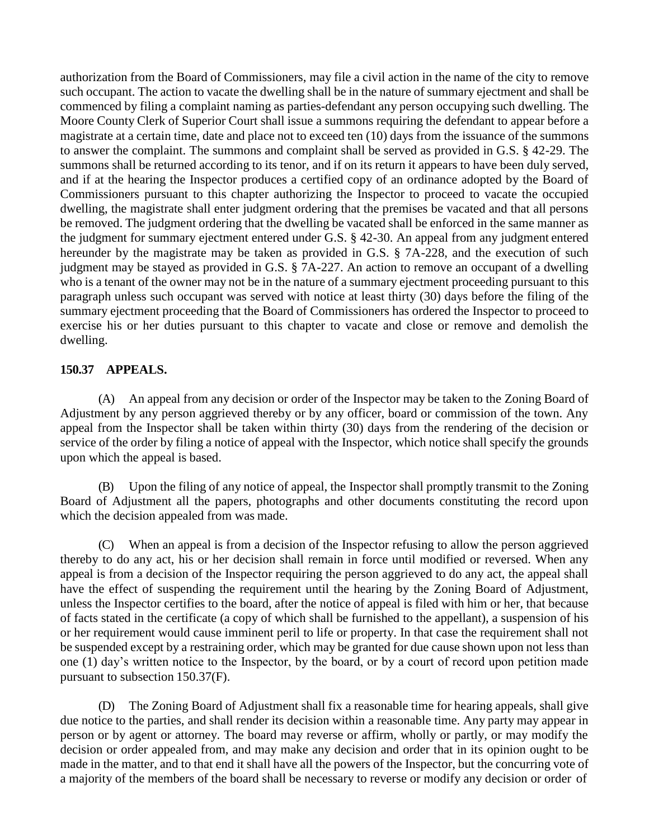authorization from the Board of Commissioners, may file a civil action in the name of the city to remove such occupant. The action to vacate the dwelling shall be in the nature of summary ejectment and shall be commenced by filing a complaint naming as parties-defendant any person occupying such dwelling. The Moore County Clerk of Superior Court shall issue a summons requiring the defendant to appear before a magistrate at a certain time, date and place not to exceed ten (10) days from the issuance of the summons to answer the complaint. The summons and complaint shall be served as provided in G.S. § 42-29. The summons shall be returned according to its tenor, and if on its return it appears to have been duly served, and if at the hearing the Inspector produces a certified copy of an ordinance adopted by the Board of Commissioners pursuant to this chapter authorizing the Inspector to proceed to vacate the occupied dwelling, the magistrate shall enter judgment ordering that the premises be vacated and that all persons be removed. The judgment ordering that the dwelling be vacated shall be enforced in the same manner as the judgment for summary ejectment entered under G.S. § 42-30. An appeal from any judgment entered hereunder by the magistrate may be taken as provided in G.S. § 7A-228, and the execution of such judgment may be stayed as provided in G.S. § 7A-227. An action to remove an occupant of a dwelling who is a tenant of the owner may not be in the nature of a summary ejectment proceeding pursuant to this paragraph unless such occupant was served with notice at least thirty (30) days before the filing of the summary ejectment proceeding that the Board of Commissioners has ordered the Inspector to proceed to exercise his or her duties pursuant to this chapter to vacate and close or remove and demolish the dwelling.

# **150.37 APPEALS.**

(A) An appeal from any decision or order of the Inspector may be taken to the Zoning Board of Adjustment by any person aggrieved thereby or by any officer, board or commission of the town. Any appeal from the Inspector shall be taken within thirty (30) days from the rendering of the decision or service of the order by filing a notice of appeal with the Inspector, which notice shall specify the grounds upon which the appeal is based.

(B) Upon the filing of any notice of appeal, the Inspector shall promptly transmit to the Zoning Board of Adjustment all the papers, photographs and other documents constituting the record upon which the decision appealed from was made.

(C) When an appeal is from a decision of the Inspector refusing to allow the person aggrieved thereby to do any act, his or her decision shall remain in force until modified or reversed. When any appeal is from a decision of the Inspector requiring the person aggrieved to do any act, the appeal shall have the effect of suspending the requirement until the hearing by the Zoning Board of Adjustment, unless the Inspector certifies to the board, after the notice of appeal is filed with him or her, that because of facts stated in the certificate (a copy of which shall be furnished to the appellant), a suspension of his or her requirement would cause imminent peril to life or property. In that case the requirement shall not be suspended except by a restraining order, which may be granted for due cause shown upon not less than one (1) day's written notice to the Inspector, by the board, or by a court of record upon petition made pursuant to subsection 150.37(F).

(D) The Zoning Board of Adjustment shall fix a reasonable time for hearing appeals, shall give due notice to the parties, and shall render its decision within a reasonable time. Any party may appear in person or by agent or attorney. The board may reverse or affirm, wholly or partly, or may modify the decision or order appealed from, and may make any decision and order that in its opinion ought to be made in the matter, and to that end it shall have all the powers of the Inspector, but the concurring vote of a majority of the members of the board shall be necessary to reverse or modify any decision or order of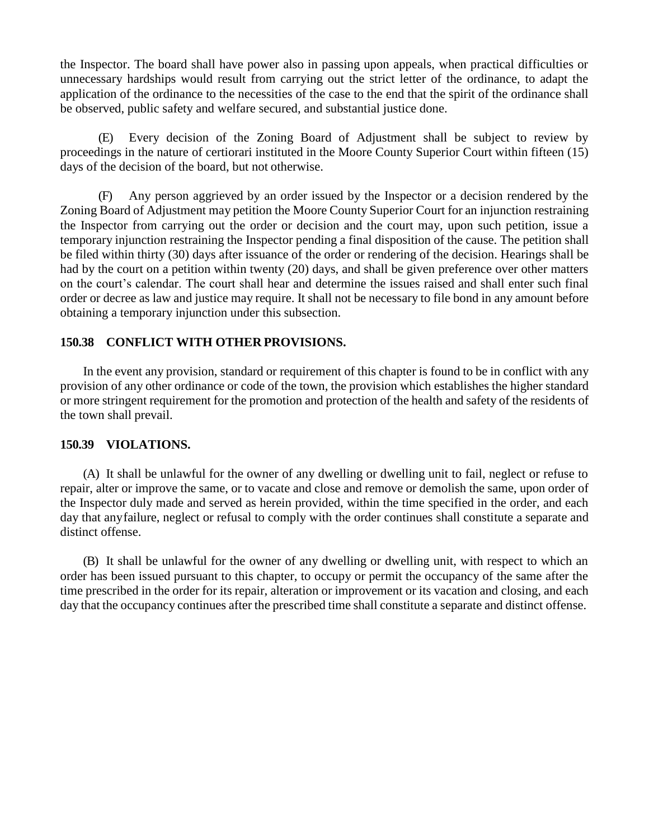the Inspector. The board shall have power also in passing upon appeals, when practical difficulties or unnecessary hardships would result from carrying out the strict letter of the ordinance, to adapt the application of the ordinance to the necessities of the case to the end that the spirit of the ordinance shall be observed, public safety and welfare secured, and substantial justice done.

(E) Every decision of the Zoning Board of Adjustment shall be subject to review by proceedings in the nature of certiorari instituted in the Moore County Superior Court within fifteen (15) days of the decision of the board, but not otherwise.

(F) Any person aggrieved by an order issued by the Inspector or a decision rendered by the Zoning Board of Adjustment may petition the Moore County Superior Court for an injunction restraining the Inspector from carrying out the order or decision and the court may, upon such petition, issue a temporary injunction restraining the Inspector pending a final disposition of the cause. The petition shall be filed within thirty (30) days after issuance of the order or rendering of the decision. Hearings shall be had by the court on a petition within twenty (20) days, and shall be given preference over other matters on the court's calendar. The court shall hear and determine the issues raised and shall enter such final order or decree as law and justice may require. It shall not be necessary to file bond in any amount before obtaining a temporary injunction under this subsection.

### **150.38 CONFLICT WITH OTHER PROVISIONS.**

In the event any provision, standard or requirement of this chapter is found to be in conflict with any provision of any other ordinance or code of the town, the provision which establishes the higher standard or more stringent requirement for the promotion and protection of the health and safety of the residents of the town shall prevail.

#### **150.39 VIOLATIONS.**

(A) It shall be unlawful for the owner of any dwelling or dwelling unit to fail, neglect or refuse to repair, alter or improve the same, or to vacate and close and remove or demolish the same, upon order of the Inspector duly made and served as herein provided, within the time specified in the order, and each day that anyfailure, neglect or refusal to comply with the order continues shall constitute a separate and distinct offense.

(B) It shall be unlawful for the owner of any dwelling or dwelling unit, with respect to which an order has been issued pursuant to this chapter, to occupy or permit the occupancy of the same after the time prescribed in the order for its repair, alteration or improvement or its vacation and closing, and each day that the occupancy continues after the prescribed time shall constitute a separate and distinct offense.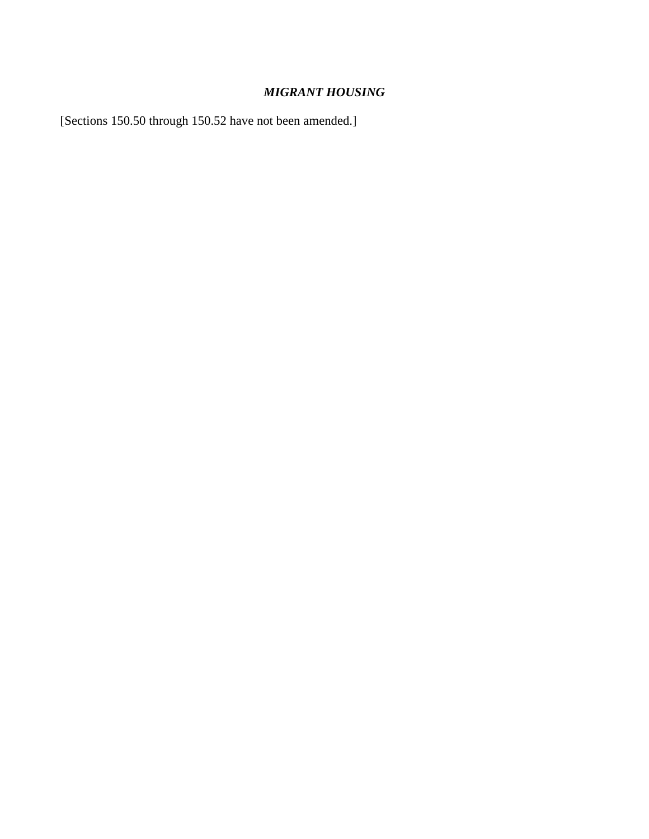# *MIGRANT HOUSING*

[Sections 150.50 through 150.52 have not been amended.]